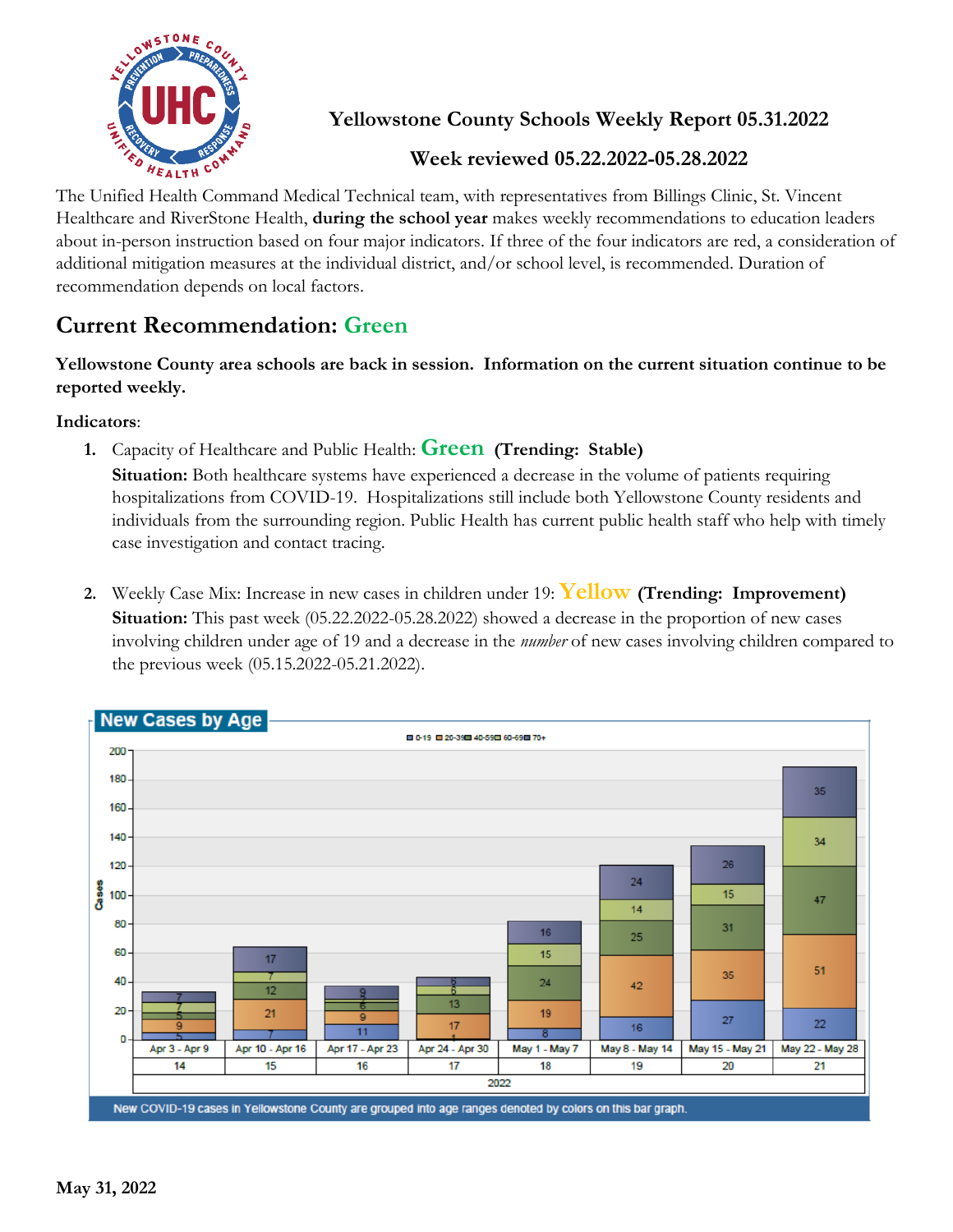

**Yellowstone County Schools Weekly Report 05.31.2022**

## **Week reviewed 05.22.2022-05.28.2022**

The Unified Health Command Medical Technical team, with representatives from Billings Clinic, St. Vincent Healthcare and RiverStone Health, **during the school year** makes weekly recommendations to education leaders about in-person instruction based on four major indicators. If three of the four indicators are red, a consideration of additional mitigation measures at the individual district, and/or school level, is recommended. Duration of recommendation depends on local factors.

## **Current Recommendation: Green**

**Yellowstone County area schools are back in session. Information on the current situation continue to be reported weekly.**

**Indicators**:

**1.** Capacity of Healthcare and Public Health: **Green (Trending: Stable)**

**Situation:** Both healthcare systems have experienced a decrease in the volume of patients requiring hospitalizations from COVID-19. Hospitalizations still include both Yellowstone County residents and individuals from the surrounding region. Public Health has current public health staff who help with timely case investigation and contact tracing.

**2.** Weekly Case Mix: Increase in new cases in children under 19: **Yellow (Trending: Improvement) Situation:** This past week (05.22.2022-05.28.2022) showed a decrease in the proportion of new cases involving children under age of 19 and a decrease in the *number* of new cases involving children compared to the previous week (05.15.2022-05.21.2022).

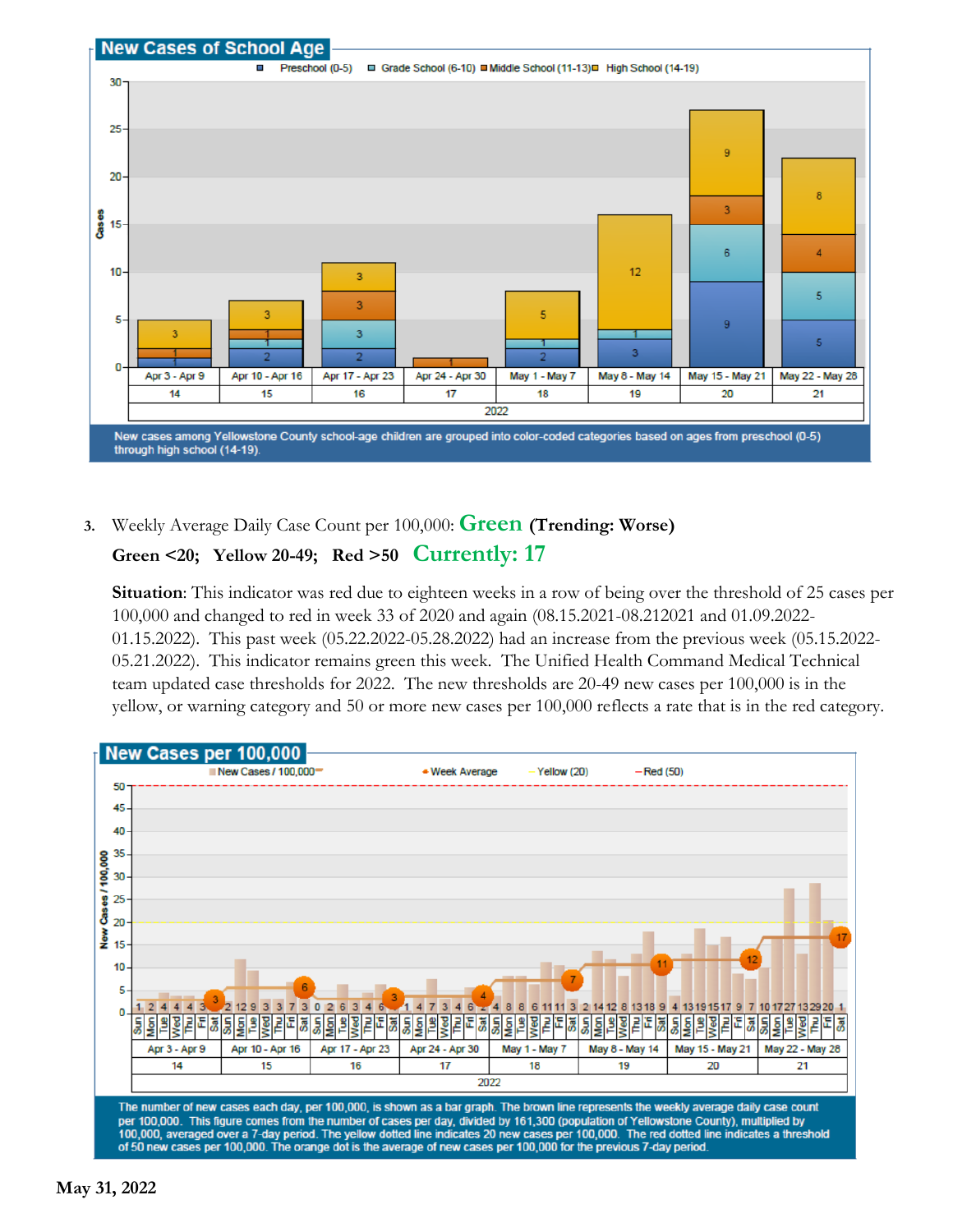

**3.** Weekly Average Daily Case Count per 100,000: **Green (Trending: Worse)**

## **Green <20; Yellow 20-49; Red >50 Currently: 17**

**Situation**: This indicator was red due to eighteen weeks in a row of being over the threshold of 25 cases per 100,000 and changed to red in week 33 of 2020 and again (08.15.2021-08.212021 and 01.09.2022- 01.15.2022). This past week (05.22.2022-05.28.2022) had an increase from the previous week (05.15.2022- 05.21.2022). This indicator remains green this week. The Unified Health Command Medical Technical team updated case thresholds for 2022. The new thresholds are 20-49 new cases per 100,000 is in the yellow, or warning category and 50 or more new cases per 100,000 reflects a rate that is in the red category.